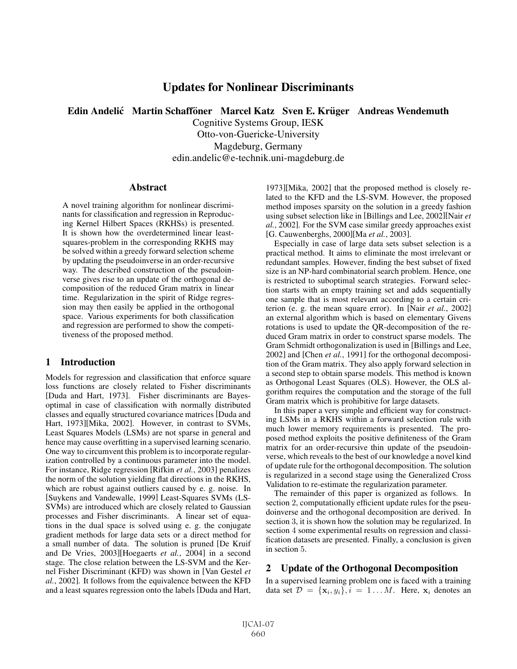# Updates for Nonlinear Discriminants

Edin Andelić Martin Schafföner Marcel Katz Sven E. Krüger Andreas Wendemuth

Cognitive Systems Group, IESK Otto-von-Guericke-University Magdeburg, Germany

edin.andelic@e-technik.uni-magdeburg.de

#### **Abstract**

A novel training algorithm for nonlinear discriminants for classification and regression in Reproducing Kernel Hilbert Spaces (RKHSs) is presented. It is shown how the overdetermined linear leastsquares-problem in the corresponding RKHS may be solved within a greedy forward selection scheme by updating the pseudoinverse in an order-recursive way. The described construction of the pseudoinverse gives rise to an update of the orthogonal decomposition of the reduced Gram matrix in linear time. Regularization in the spirit of Ridge regression may then easily be applied in the orthogonal space. Various experiments for both classification and regression are performed to show the competitiveness of the proposed method.

## 1 Introduction

Models for regression and classification that enforce square loss functions are closely related to Fisher discriminants [Duda and Hart, 1973]. Fisher discriminants are Bayesoptimal in case of classification with normally distributed classes and equally structured covariance matrices [Duda and Hart, 1973][Mika, 2002]. However, in contrast to SVMs, Least Squares Models (LSMs) are not sparse in general and hence may cause overfitting in a supervised learning scenario. One way to circumvent this problem is to incorporate regularization controlled by a continuous parameter into the model. For instance, Ridge regression [Rifkin *et al.*, 2003] penalizes the norm of the solution yielding flat directions in the RKHS, which are robust against outliers caused by e. g. noise. In [Suykens and Vandewalle, 1999] Least-Squares SVMs (LS-SVMs) are introduced which are closely related to Gaussian processes and Fisher discriminants. A linear set of equations in the dual space is solved using e. g. the conjugate gradient methods for large data sets or a direct method for a small number of data. The solution is pruned [De Kruif and De Vries, 2003][Hoegaerts *et al.*, 2004] in a second stage. The close relation between the LS-SVM and the Kernel Fisher Discriminant (KFD) was shown in [Van Gestel *et al.*, 2002]. It follows from the equivalence between the KFD and a least squares regression onto the labels [Duda and Hart, 1973][Mika, 2002] that the proposed method is closely related to the KFD and the LS-SVM. However, the proposed method imposes sparsity on the solution in a greedy fashion using subset selection like in [Billings and Lee, 2002][Nair *et al.*, 2002]. For the SVM case similar greedy approaches exist [G. Cauwenberghs, 2000][Ma *et al.*, 2003].

Especially in case of large data sets subset selection is a practical method. It aims to eliminate the most irrelevant or redundant samples. However, finding the best subset of fixed size is an NP-hard combinatorial search problem. Hence, one is restricted to suboptimal search strategies. Forward selection starts with an empty training set and adds sequentially one sample that is most relevant according to a certain criterion (e. g. the mean square error). In [Nair *et al.*, 2002] an external algorithm which is based on elementary Givens rotations is used to update the QR-decomposition of the reduced Gram matrix in order to construct sparse models. The Gram Schmidt orthogonalization is used in [Billings and Lee, 2002] and [Chen *et al.*, 1991] for the orthogonal decomposition of the Gram matrix. They also apply forward selection in a second step to obtain sparse models. This method is known as Orthogonal Least Squares (OLS). However, the OLS algorithm requires the computation and the storage of the full Gram matrix which is prohibitive for large datasets.

In this paper a very simple and efficient way for constructing LSMs in a RKHS within a forward selection rule with much lower memory requirements is presented. The proposed method exploits the positive definiteness of the Gram matrix for an order-recursive thin update of the pseudoinverse, which reveals to the best of our knowledge a novel kind of update rule for the orthogonal decomposition. The solution is regularized in a second stage using the Generalized Cross Validation to re-estimate the regularization parameter.

The remainder of this paper is organized as follows. In section 2, computationally efficient update rules for the pseudoinverse and the orthogonal decomposition are derived. In section 3, it is shown how the solution may be regularized. In section 4 some experimental results on regression and classification datasets are presented. Finally, a conclusion is given in section 5.

## 2 Update of the Orthogonal Decomposition

In a supervised learning problem one is faced with a training data set  $\mathcal{D} = {\mathbf{x}_i, y_i}, i = 1...M$ . Here,  $\mathbf{x}_i$  denotes an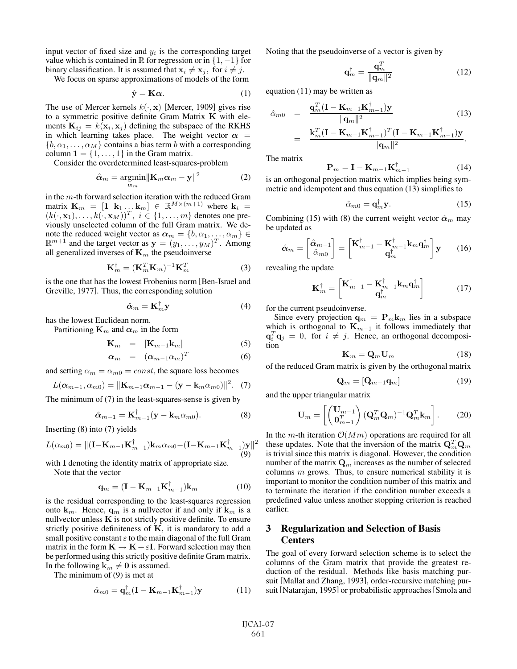input vector of fixed size and  $y_i$  is the corresponding target value which is contained in  $\mathbb R$  for regression or in  $\{1, -1\}$  for binary classification. It is assumed that  $\mathbf{x}_i \neq \mathbf{x}_j$ , for  $i \neq j$ .<br>We focus on sparse approximations of models of the form

We focus on sparse approximations of models of the form

$$
\hat{\mathbf{y}} = \mathbf{K}\boldsymbol{\alpha}.\tag{1}
$$

The use of Mercer kernels  $k(\cdot, \mathbf{x})$  [Mercer, 1909] gives rise to a symmetric positive definite Gram Matrix **K** with elements  $\mathbf{K}_{ij} = k(\mathbf{x}_i, \mathbf{x}_j)$  defining the subspace of the RKHS in which learning takes place. The weight vector  $\alpha$  =  $\{b, \alpha_1, \ldots, \alpha_M\}$  contains a bias term b with a corresponding column  $\mathbf{1} = \{1, \ldots, 1\}$  in the Gram matrix.

Consider the overdetermined least-squares-problem

$$
\hat{\alpha}_m = \underset{\alpha_m}{\operatorname{argmin}} \|\mathbf{K}_m \alpha_m - \mathbf{y}\|^2 \tag{2}
$$

in the  $m$ -th forward selection iteration with the reduced Gram matrix  $\mathbf{K}_m = [\mathbf{1} \ \mathbf{k}_1 \dots \mathbf{k}_m] \in \mathbb{R}^{M \times (m+1)}$  where  $\mathbf{k}_i =$  $(k(\cdot, \mathbf{x}_1), \ldots, k(\cdot, \mathbf{x}_M))^T$ ,  $i \in \{1, \ldots, m\}$  denotes one previously unselected column of the full Gram matrix. We denote the reduced weight vector as  $\alpha_m = \{b, \alpha_1, \dots, \alpha_m\} \in \mathbb{R}^{m+1}$  and the target vector as  $\mathbf{v} = (\mu_1, \mu_2, \mu_3)^T$ . Among  $\mathbb{R}^{m+1}$  and the target vector as  $\mathbf{y} = (y_1, \ldots, y_M)^T$ . Among all generalized inverses of **K**<sub>n</sub>, the pseudoinverse all generalized inverses of  $\mathbf{K}_m$  the pseudoinverse

$$
\mathbf{K}_m^{\dagger} = (\mathbf{K}_m^T \mathbf{K}_m)^{-1} \mathbf{K}_m^T
$$
 (3)

is the one that has the lowest Frobenius norm [Ben-Israel and Greville, 1977]. Thus, the corresponding solution

$$
\hat{\alpha}_m = \mathbf{K}_m^{\dagger} \mathbf{y} \tag{4}
$$

has the lowest Euclidean norm.

Partitioning  $\mathbf{K}_m$  and  $\boldsymbol{\alpha}_m$  in the form

$$
\mathbf{K}_m = [\mathbf{K}_{m-1}\mathbf{k}_m] \tag{5}
$$

$$
\alpha_m = (\alpha_{m-1}\alpha_m)^T \tag{6}
$$

and setting  $\alpha_m = \alpha_{m0} = const$ , the square loss becomes

$$
L(\boldsymbol{\alpha}_{m-1},\alpha_{m0}) = ||\mathbf{K}_{m-1}\boldsymbol{\alpha}_{m-1} - (\mathbf{y} - \mathbf{k}_{m}\alpha_{m0})||^2. \tag{7}
$$

The minimum of (7) in the least-squares-sense is given by

$$
\hat{\boldsymbol{\alpha}}_{m-1} = \mathbf{K}_{m-1}^{\dagger} (\mathbf{y} - \mathbf{k}_m \alpha_{m0}). \tag{8}
$$

Inserting (8) into (7) yields

$$
L(\alpha_{m0}) = ||(\mathbf{I} - \mathbf{K}_{m-1}\mathbf{K}_{m-1}^{\dagger})\mathbf{k}_{m}\alpha_{m0} - (\mathbf{I} - \mathbf{K}_{m-1}\mathbf{K}_{m-1}^{\dagger})\mathbf{y}||^{2}
$$
  
(9)

with **I** denoting the identity matrix of appropriate size.

Note that the vector

$$
\mathbf{q}_m = (\mathbf{I} - \mathbf{K}_{m-1} \mathbf{K}_{m-1}^\dagger) \mathbf{k}_m \tag{10}
$$

is the residual corresponding to the least-squares regression onto  $\mathbf{k}_m$ . Hence,  $\mathbf{q}_m$  is a nullvector if and only if  $\mathbf{k}_m$  is a nullvector unless  $K$  is not strictly positive definite. To ensure strictly positive definiteness of **K**, it is mandatory to add a small positive constant  $\varepsilon$  to the main diagonal of the full Gram matrix in the form  $\mathbf{K} \to \mathbf{K} + \varepsilon \mathbf{I}$ . Forward selection may then be performed using this strictly positive definite Gram matrix. In the following  $\mathbf{k}_m \neq \mathbf{0}$  is assumed.<br>The minimum of (9) is met at

The minimum of (9) is met at

$$
\hat{\alpha}_{m0} = \mathbf{q}_m^{\dagger} (\mathbf{I} - \mathbf{K}_{m-1} \mathbf{K}_{m-1}^{\dagger}) \mathbf{y}
$$
 (11)

Noting that the pseudoinverse of a vector is given by

$$
\mathbf{q}_m^\dagger = \frac{\mathbf{q}_m^T}{\|\mathbf{q}_m\|^2} \tag{12}
$$

equation (11) may be written as

$$
\hat{\alpha}_{m0} = \frac{\mathbf{q}_{m}^{T}(\mathbf{I} - \mathbf{K}_{m-1}\mathbf{K}_{m-1}^{\dagger})\mathbf{y}}{\|\mathbf{q}_{m}\|^{2}} = \frac{\mathbf{k}_{m}^{T}(\mathbf{I} - \mathbf{K}_{m-1}\mathbf{K}_{m-1}^{\dagger})^{T}(\mathbf{I} - \mathbf{K}_{m-1}\mathbf{K}_{m-1}^{\dagger})\mathbf{y}}{\|\mathbf{q}_{m}\|^{2}}.
$$
\n(13)

The matrix

$$
\mathbf{P}_m = \mathbf{I} - \mathbf{K}_{m-1} \mathbf{K}_{m-1}^\dagger \tag{14}
$$

 $\mathbf{P}_m = \mathbf{I} - \mathbf{K}_{m-1} \mathbf{K}_{m-1}^{\dagger}$  (14)<br>is an orthogonal projection matrix which implies being symmetric and idempotent and thus equation (13) simplifies to

$$
\hat{\alpha}_{m0} = \mathbf{q}_m^{\dagger} \mathbf{y}.\tag{15}
$$

Combining (15) with (8) the current weight vector  $\hat{\alpha}_m$  may be updated as

$$
\hat{\boldsymbol{\alpha}}_m = \begin{bmatrix} \hat{\boldsymbol{\alpha}}_{m-1} \\ \hat{\alpha}_{m0} \end{bmatrix} = \begin{bmatrix} \mathbf{K}_{m-1}^{\dagger} - \mathbf{K}_{m-1}^{\dagger} \mathbf{k}_m \mathbf{q}_m^{\dagger} \\ \mathbf{q}_m^{\dagger} \end{bmatrix} \mathbf{y} \qquad (16)
$$

revealing the update

$$
\mathbf{K}_{m}^{\dagger} = \begin{bmatrix} \mathbf{K}_{m-1}^{\dagger} - \mathbf{K}_{m-1}^{\dagger} \mathbf{k}_{m} \mathbf{q}_{m}^{\dagger} \\ \mathbf{q}_{m}^{\dagger} \end{bmatrix} \tag{17}
$$

for the current pseudoinverse.

Since every projection  $\mathbf{q}_m = \mathbf{P}_m \mathbf{k}_m$  lies in a subspace which is orthogonal to  $\mathbf{K}_{m-1}$  it follows immediately that  $\mathbf{q}_i^T \mathbf{q}_j = 0$ , for  $i \neq j$ . Hence, an orthogonal decomposition tion

$$
\mathbf{K}_m = \mathbf{Q}_m \mathbf{U}_m \tag{18}
$$

 $\mathbf{K}_m = \mathbf{Q}_m \mathbf{U}_m$  (18)<br>of the reduced Gram matrix is given by the orthogonal matrix

$$
\mathbf{Q}_m = [\mathbf{Q}_{m-1}\mathbf{q}_m] \tag{19}
$$

and the upper triangular matrix

$$
\mathbf{U}_m = \begin{bmatrix} \begin{pmatrix} \mathbf{U}_{m-1} \\ \mathbf{0}_m^T \end{pmatrix} (\mathbf{Q}_m^T \mathbf{Q}_m)^{-1} \mathbf{Q}_m^T \mathbf{k}_m \end{bmatrix} . \tag{20}
$$

In the *m*-th iteration  $O(Mm)$  operations are required for all these updates. Note that the inversion of the matrix  $\mathbf{Q}_m^T \mathbf{Q}_m$ is trivial since this matrix is diagonal. However, the condition number of the matrix  $\mathbf{Q}_m$  increases as the number of selected columns  $m$  grows. Thus, to ensure numerical stability it is important to monitor the condition number of this matrix and to terminate the iteration if the condition number exceeds a predefined value unless another stopping criterion is reached earlier.

## 3 Regularization and Selection of Basis Centers

The goal of every forward selection scheme is to select the columns of the Gram matrix that provide the greatest reduction of the residual. Methods like basis matching pursuit [Mallat and Zhang, 1993], order-recursive matching pursuit [Natarajan, 1995] or probabilistic approaches[Smola and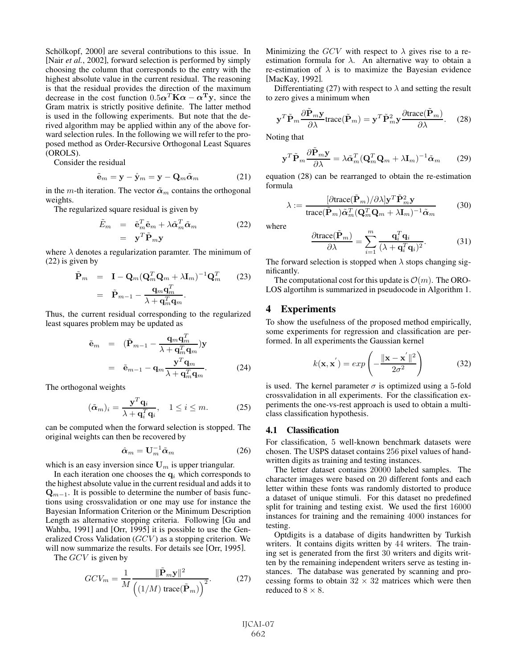Schölkopf, 2000] are several contributions to this issue. In [Nair *et al.*, 2002], forward selection is performed by simply choosing the column that corresponds to the entry with the highest absolute value in the current residual. The reasoning is that the residual provides the direction of the maximum decrease in the cost function  $0.5\alpha^T K\alpha - \alpha^T y$ , since the Gram matrix is strictly positive definite. The latter method is used in the following experiments. But note that the derived algorithm may be applied within any of the above forward selection rules. In the following we will refer to the proposed method as Order-Recursive Orthogonal Least Squares (OROLS).

Consider the residual

$$
\tilde{\mathbf{e}}_m = \mathbf{y} - \hat{\mathbf{y}}_m = \mathbf{y} - \mathbf{Q}_m \tilde{\alpha}_m \tag{21}
$$

in the m-th iteration. The vector  $\tilde{\alpha}_m$  contains the orthogonal weights.

The regularized square residual is given by

$$
\tilde{E}_m = \tilde{\mathbf{e}}_m^T \tilde{\mathbf{e}}_m + \lambda \tilde{\alpha}_m^T \tilde{\alpha}_m
$$
\n
$$
= \mathbf{y}^T \tilde{\mathbf{P}}_m \mathbf{y}
$$
\n(22)

where  $\lambda$  denotes a regularization paramter. The minimum of (22) is given by

$$
\tilde{\mathbf{P}}_m = \mathbf{I} - \mathbf{Q}_m (\mathbf{Q}_m^T \mathbf{Q}_m + \lambda \mathbf{I}_m)^{-1} \mathbf{Q}_m^T
$$
\n
$$
= \tilde{\mathbf{P}}_{m-1} - \frac{\mathbf{q}_m \mathbf{q}_m^T}{\lambda + \mathbf{q}_m^T \mathbf{q}_m}.
$$
\n(23)

Thus, the current residual corresponding to the regularized least squares problem may be updated as

$$
\tilde{\mathbf{e}}_m = (\tilde{\mathbf{P}}_{m-1} - \frac{\mathbf{q}_m \mathbf{q}_m^T}{\lambda + \mathbf{q}_m^T \mathbf{q}_m}) \mathbf{y}
$$
\n
$$
= \tilde{\mathbf{e}}_{m-1} - \mathbf{q}_m \frac{\mathbf{y}^T \mathbf{q}_m}{\lambda + \mathbf{q}_m^T \mathbf{q}_m}.
$$
\n(24)

The orthogonal weights

$$
(\tilde{\boldsymbol{\alpha}}_m)_i = \frac{\mathbf{y}^T \mathbf{q}_i}{\lambda + \mathbf{q}_i^T \mathbf{q}_i}, \quad 1 \le i \le m.
$$
 (25)

can be computed when the forward selection is stopped. The original weights can then be recovered by

$$
\hat{\alpha}_m = \mathbf{U}_m^{-1} \tilde{\alpha}_m \tag{26}
$$

which is an easy inversion since  $U_m$  is upper triangular.

In each iteration one chooses the  $q_i$  which corresponds to the highest absolute value in the current residual and adds it to  $\mathbf{Q}_{m-1}$ . It is possible to determine the number of basis functions using crossvalidation or one may use for instance the Bayesian Information Criterion or the Minimum Description Length as alternative stopping criteria. Following [Gu and Wahba, 1991] and [Orr, 1995] it is possible to use the Generalized Cross Validation  $(GCV)$  as a stopping criterion. We will now summarize the results. For details see [Orr, 1995].

The GCV is given by

$$
GCV_m = \frac{1}{M} \frac{\|\tilde{\mathbf{P}}_m \mathbf{y}\|^2}{\left(\left(1/M\right) \text{trace}(\tilde{\mathbf{P}}_m)\right)^2}.
$$
 (27)

Minimizing the GCV with respect to  $\lambda$  gives rise to a reestimation formula for  $\lambda$ . An alternative way to obtain a re-estimation of  $\lambda$  is to maximize the Bayesian evidence [MacKay, 1992].

Differentiating (27) with respect to  $\lambda$  and setting the result to zero gives a minimum when

$$
\mathbf{y}^T \tilde{\mathbf{P}}_m \frac{\partial \mathbf{P}_m \mathbf{y}}{\partial \lambda} \text{trace}(\tilde{\mathbf{P}}_m) = \mathbf{y}^T \tilde{\mathbf{P}}_m^2 \mathbf{y} \frac{\partial \text{trace}(\mathbf{P}_m)}{\partial \lambda}.
$$
 (28)

Noting that

$$
\mathbf{y}^T \tilde{\mathbf{P}}_m \frac{\partial \mathbf{P}_m \mathbf{y}}{\partial \lambda} = \lambda \tilde{\boldsymbol{\alpha}}_m^T (\mathbf{Q}_m^T \mathbf{Q}_m + \lambda \mathbf{I}_m)^{-1} \tilde{\boldsymbol{\alpha}}_m \qquad (29)
$$

equation (28) can be rearranged to obtain the re-estimation formula

$$
\lambda := \frac{\left[\partial \text{trace}(\tilde{\mathbf{P}}_m) / \partial \lambda \right] \mathbf{y}^T \tilde{\mathbf{P}}_m^2 \mathbf{y}}{\text{trace}(\tilde{\mathbf{P}}_m) \tilde{\boldsymbol{\alpha}}_m^T (\mathbf{Q}_m^T \mathbf{Q}_m + \lambda \mathbf{I}_m)^{-1} \tilde{\boldsymbol{\alpha}}_m}
$$
(30)

where

$$
\frac{\partial \text{trace}(\tilde{\mathbf{P}}_m)}{\partial \lambda} = \sum_{i=1}^m \frac{\mathbf{q}_i^T \mathbf{q}_i}{(\lambda + \mathbf{q}_i^T \mathbf{q}_i)^2}.
$$
 (31)

The forward selection is stopped when  $\lambda$  stops changing significantly.

The computational cost for this update is  $\mathcal{O}(m)$ . The ORO-LOS algortihm is summarized in pseudocode in Algorithm 1.

#### 4 Experiments

To show the usefulness of the proposed method empirically, some experiments for regression and classification are performed. In all experiments the Gaussian kernel

$$
k(\mathbf{x}, \mathbf{x}') = exp\left(-\frac{\|\mathbf{x} - \mathbf{x}'\|^2}{2\sigma^2}\right)
$$
 (32)

is used. The kernel parameter  $\sigma$  is optimized using a 5-fold crossvalidation in all experiments. For the classification experiments the one-vs-rest approach is used to obtain a multiclass classification hypothesis.

#### 4.1 Classification

For classification, 5 well-known benchmark datasets were chosen. The USPS dataset contains 256 pixel values of handwritten digits as training and testing instances.

The letter dataset contains 20000 labeled samples. The character images were based on 20 different fonts and each letter within these fonts was randomly distorted to produce a dataset of unique stimuli. For this dataset no predefined split for training and testing exist. We used the first 16000 instances for training and the remaining 4000 instances for testing.

Optdigits is a database of digits handwritten by Turkish writers. It contains digits written by 44 writers. The training set is generated from the first 30 writers and digits written by the remaining independent writers serve as testing instances. The database was generated by scanning and processing forms to obtain  $32 \times 32$  matrices which were then reduced to  $8 \times 8$ .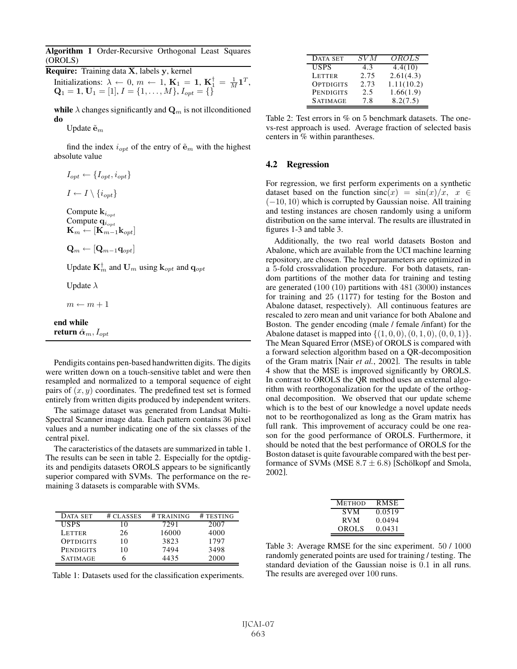Algorithm 1 Order-Recursive Orthogonal Least Squares (OROLS)

Require: Training data **X**, labels **y**, kernel Initializations:  $\lambda \leftarrow 0, m \leftarrow 1, \mathbf{K}_1 = 1, \mathbf{K}_1^{\dagger} = \frac{1}{M} \mathbf{1}^T,$ <br>  $\mathbf{O}_1 = 1$   $\mathbf{U}_1 = \begin{bmatrix} 1 \end{bmatrix} I = \begin{bmatrix} 1 & M \end{bmatrix} I_{\text{rad}} = \begin{bmatrix} 1 \end{bmatrix}$  $\mathbf{Q}_1 = \mathbf{1}, \mathbf{U}_1 = [1], I = \{1, \ldots, M\}, I_{opt} = \{\}\$ 

while  $\lambda$  changes significantly and  $\mathbf{Q}_m$  is not illconditioned do

Update  $\tilde{\mathbf{e}}_m$ 

return  $\hat{\boldsymbol{\alpha}}_m, I_{opt}$ 

find the index  $i_{opt}$  of the entry of  $\tilde{\mathbf{e}}_m$  with the highest absolute value

| $I_{opt} \leftarrow \{I_{opt}, i_{opt}\}$                                                                                          |
|------------------------------------------------------------------------------------------------------------------------------------|
| $I \leftarrow I \setminus \{i_{opt}\}\$                                                                                            |
| Compute ${\bf k}_{i_{opt}}$<br>Compute $q_{i_{opt}}$<br>$\mathbf{K}_m \leftarrow [\mathbf{K}_{m-1}^{\text{top}} \mathbf{k}_{opt}]$ |
| $\mathbf{Q}_m \leftarrow  \mathbf{Q}_{m-1} \mathbf{q}_{ont} $                                                                      |
| Update $\mathbf{K}_m^{\dagger}$ and $\mathbf{U}_m$ using $\mathbf{k}_{opt}$ and $\mathbf{q}_{opt}$                                 |
| Update $\lambda$                                                                                                                   |
| $m \leftarrow m + 1$                                                                                                               |
| end while                                                                                                                          |

Pendigits contains pen-based handwritten digits. The digits were written down on a touch-sensitive tablet and were then resampled and normalized to a temporal sequence of eight pairs of  $(x, y)$  coordinates. The predefined test set is formed entirely from written digits produced by independent writers.

The satimage dataset was generated from Landsat Multi-Spectral Scanner image data. Each pattern contains 36 pixel values and a number indicating one of the six classes of the central pixel.

The caracteristics of the datasets are summarized in table 1. The results can be seen in table 2. Especially for the optdigits and pendigits datasets OROLS appears to be significantly superior compared with SVMs. The performance on the remaining 3 datasets is comparable with SVMs.

| DATA SET         | # CLASSES | # TRAINING | # TESTING |
|------------------|-----------|------------|-----------|
| <b>USPS</b>      | $\theta$  | 7291       | 2007      |
| LETTER           | 26        | 16000      | 4000      |
| OPTDIGITS        | 10        | 3823       | 1797      |
| <b>PENDIGITS</b> | 10        | 7494       | 3498      |
| <b>SATIMAGE</b>  |           | 4435       | 2000      |

| Table 1: Datasets used for the classification experiments. |  |  |
|------------------------------------------------------------|--|--|

| DATA SET         | SV M | <i>OROLS</i> |
|------------------|------|--------------|
| <b>USPS</b>      | 4.3  | 4.4(10)      |
| <b>LETTER</b>    | 2.75 | 2.61(4.3)    |
| <b>OPTDIGITS</b> | 2.73 | 1.11(10.2)   |
| PENDIGITS        | 2.5  | 1.66(1.9)    |
| <b>SATIMAGE</b>  | 7.8  | 8.2(7.5)     |

Table 2: Test errors in % on 5 benchmark datasets. The onevs-rest approach is used. Average fraction of selected basis centers in % within parantheses.

#### 4.2 Regression

For regression, we first perform experiments on a synthetic dataset based on the function  $sinc(x) = sin(x)/x$ ,  $x \in$  $(-10, 10)$  which is corrupted by Gaussian noise. All training and testing instances are chosen randomly using a uniform distribution on the same interval. The results are illustrated in figures 1-3 and table 3.

Additionally, the two real world datasets Boston and Abalone, which are available from the UCI machine learning repository, are chosen. The hyperparameters are optimized in <sup>a</sup> 5-fold crossvalidation procedure. For both datasets, random partitions of the mother data for training and testing are generated (100 (10) partitions with 481 (3000) instances for training and 25 (1177) for testing for the Boston and Abalone dataset, respectively). All continuous features are rescaled to zero mean and unit variance for both Abalone and Boston. The gender encoding (male / female /infant) for the Abalone dataset is mapped into  $\{(1, 0, 0), (0, 1, 0), (0, 0, 1)\}.$ The Mean Squared Error (MSE) of OROLS is compared with a forward selection algorithm based on a QR-decomposition of the Gram matrix [Nair *et al.*, 2002]. The results in table 4 show that the MSE is improved significantly by OROLS. In contrast to OROLS the QR method uses an external algorithm with reorthogonalization for the update of the orthogonal decomposition. We observed that our update scheme which is to the best of our knowledge a novel update needs not to be reorthogonalized as long as the Gram matrix has full rank. This improvement of accuracy could be one reason for the good performance of OROLS. Furthermore, it should be noted that the best performance of OROLS for the Boston dataset is quite favourable compared with the best performance of SVMs (MSE  $8.7 \pm 6.8$ ) [Schölkopf and Smola, 2002].

| <b>METHOD</b> | RMSE   |
|---------------|--------|
| <b>SVM</b>    | 0.0519 |
| RVM.          | 0.0494 |
| <b>OROLS</b>  | 0.0431 |

Table 3: Average RMSE for the sinc experiment. 50 / 1000 randomly generated points are used for training / testing. The standard deviation of the Gaussian noise is 0.1 in all runs. The results are avereged over 100 runs.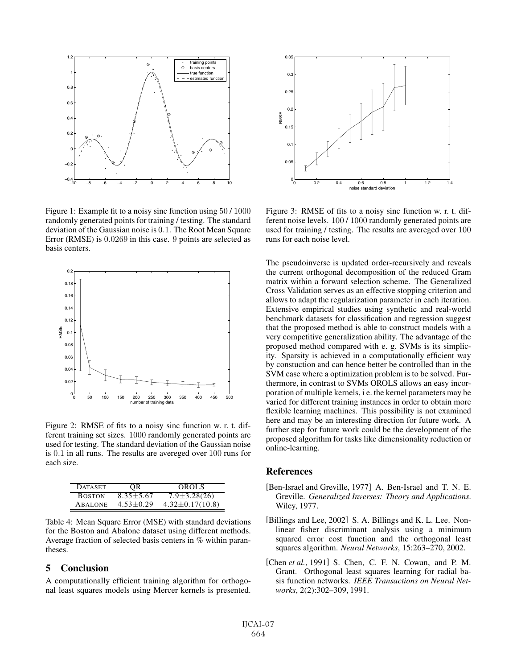

Figure 1: Example fit to a noisy sinc function using 50 / 1000 randomly generated points for training / testing. The standard deviation of the Gaussian noise is 0.1. The Root Mean Square Error (RMSE) is 0.0269 in this case. 9 points are selected as basis centers.



Figure 2: RMSE of fits to a noisy sinc function w. r. t. different training set sizes. 1000 randomly generated points are used for testing. The standard deviation of the Gaussian noise is 0.1 in all runs. The results are avereged over 100 runs for each size.

| <b>DATASET</b> | OR.             | <b>OROLS</b>          |
|----------------|-----------------|-----------------------|
| <b>BOSTON</b>  | $8.35 + 5.67$   | $7.9 \pm 3.28(26)$    |
| <b>ABALONE</b> | $4.53 \pm 0.29$ | $4.32 \pm 0.17(10.8)$ |

Table 4: Mean Square Error (MSE) with standard deviations for the Boston and Abalone dataset using different methods. Average fraction of selected basis centers in % within parantheses.

## 5 Conclusion

A computationally efficient training algorithm for orthogonal least squares models using Mercer kernels is presented.



Figure 3: RMSE of fits to a noisy sinc function w. r. t. different noise levels. 100 / 1000 randomly generated points are used for training / testing. The results are avereged over 100 runs for each noise level.

The pseudoinverse is updated order-recursively and reveals the current orthogonal decomposition of the reduced Gram matrix within a forward selection scheme. The Generalized Cross Validation serves as an effective stopping criterion and allows to adapt the regularization parameter in each iteration. Extensive empirical studies using synthetic and real-world benchmark datasets for classification and regression suggest that the proposed method is able to construct models with a very competitive generalization ability. The advantage of the proposed method compared with e. g. SVMs is its simplicity. Sparsity is achieved in a computationally efficient way by constuction and can hence better be controlled than in the SVM case where a optimization problem is to be solved. Furthermore, in contrast to SVMs OROLS allows an easy incorporation of multiple kernels, i e. the kernel parameters may be varied for different training instances in order to obtain more flexible learning machines. This possibility is not examined here and may be an interesting direction for future work. A further step for future work could be the development of the proposed algorithm for tasks like dimensionality reduction or online-learning.

## **References**

- [Ben-Israel and Greville, 1977] A. Ben-Israel and T. N. E. Greville. *Generalized Inverses: Theory and Applications*. Wiley, 1977.
- [Billings and Lee, 2002] S. A. Billings and K. L. Lee. Nonlinear fisher discriminant analysis using a minimum squared error cost function and the orthogonal least squares algorithm. *Neural Networks*, 15:263–270, 2002.
- [Chen *et al.*, 1991] S. Chen, C. F. N. Cowan, and P. M. Grant. Orthogonal least squares learning for radial basis function networks. *IEEE Transactions on Neural Networks*, 2(2):302–309, 1991.